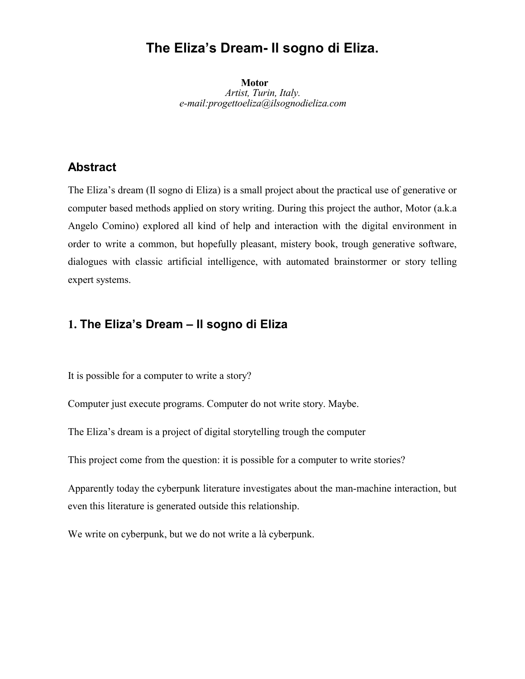# **The Eliza's Dream- Il sogno di Eliza.**

**Motor** *Artist, Turin, Italy. e-mail:progettoeliza@ilsognodieliza.com*

### **Abstract**

The Eliza's dream (Il sogno di Eliza) is a small project about the practical use of generative or computer based methods applied on story writing. During this project the author, Motor (a.k.a Angelo Comino) explored all kind of help and interaction with the digital environment in order to write a common, but hopefully pleasant, mistery book, trough generative software, dialogues with classic artificial intelligence, with automated brainstormer or story telling expert systems.

## **1. The Eliza's Dream – Il sogno di Eliza**

It is possible for a computer to write a story?

Computer just execute programs. Computer do not write story. Maybe.

The Eliza's dream is a project of digital storytelling trough the computer

This project come from the question: it is possible for a computer to write stories?

Apparently today the cyberpunk literature investigates about the man-machine interaction, but even this literature is generated outside this relationship.

We write on cyberpunk, but we do not write a là cyberpunk.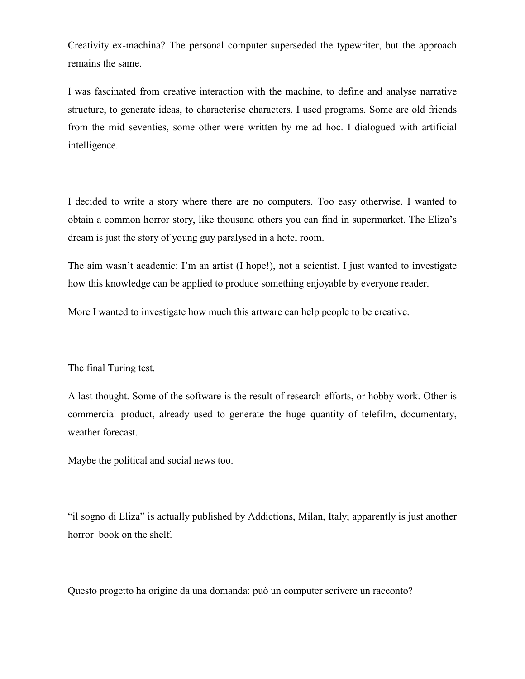Creativity ex-machina? The personal computer superseded the typewriter, but the approach remains the same.

I was fascinated from creative interaction with the machine, to define and analyse narrative structure, to generate ideas, to characterise characters. I used programs. Some are old friends from the mid seventies, some other were written by me ad hoc. I dialogued with artificial intelligence.

I decided to write a story where there are no computers. Too easy otherwise. I wanted to obtain a common horror story, like thousand others you can find in supermarket. The Eliza's dream is just the story of young guy paralysed in a hotel room.

The aim wasn't academic: I'm an artist (I hope!), not a scientist. I just wanted to investigate how this knowledge can be applied to produce something enjoyable by everyone reader.

More I wanted to investigate how much this artware can help people to be creative.

The final Turing test.

A last thought. Some of the software is the result of research efforts, or hobby work. Other is commercial product, already used to generate the huge quantity of telefilm, documentary, weather forecast.

Maybe the political and social news too.

"il sogno di Eliza" is actually published by Addictions, Milan, Italy; apparently is just another horror book on the shelf.

Questo progetto ha origine da una domanda: può un computer scrivere un racconto?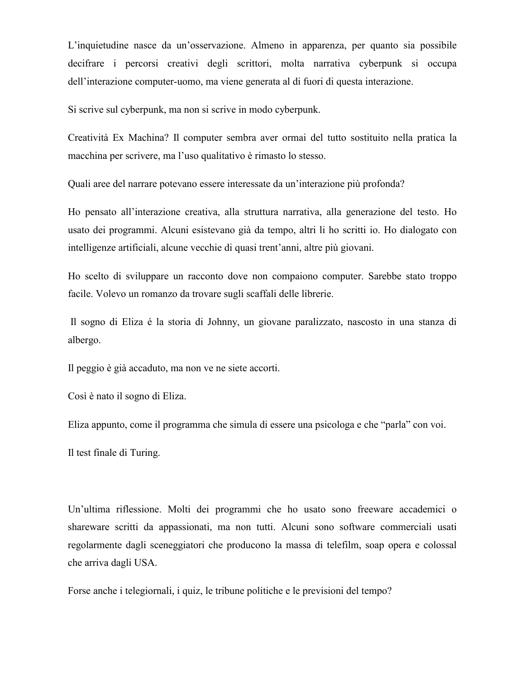L'inquietudine nasce da un'osservazione. Almeno in apparenza, per quanto sia possibile decifrare i percorsi creativi degli scrittori, molta narrativa cyberpunk si occupa dell'interazione computer-uomo, ma viene generata al di fuori di questa interazione.

Si scrive sul cyberpunk, ma non si scrive in modo cyberpunk.

Creatività Ex Machina? Il computer sembra aver ormai del tutto sostituito nella pratica la macchina per scrivere, ma l'uso qualitativo è rimasto lo stesso.

Quali aree del narrare potevano essere interessate da un'interazione più profonda?

Ho pensato all'interazione creativa, alla struttura narrativa, alla generazione del testo. Ho usato dei programmi. Alcuni esistevano già da tempo, altri li ho scritti io. Ho dialogato con intelligenze artificiali, alcune vecchie di quasi trent'anni, altre più giovani.

Ho scelto di sviluppare un racconto dove non compaiono computer. Sarebbe stato troppo facile. Volevo un romanzo da trovare sugli scaffali delle librerie.

 Il sogno di Eliza é la storia di Johnny, un giovane paralizzato, nascosto in una stanza di albergo.

Il peggio è già accaduto, ma non ve ne siete accorti.

Così è nato il sogno di Eliza.

Eliza appunto, come il programma che simula di essere una psicologa e che "parla" con voi.

Il test finale di Turing.

Un'ultima riflessione. Molti dei programmi che ho usato sono freeware accademici o shareware scritti da appassionati, ma non tutti. Alcuni sono software commerciali usati regolarmente dagli sceneggiatori che producono la massa di telefilm, soap opera e colossal che arriva dagli USA.

Forse anche i telegiornali, i quiz, le tribune politiche e le previsioni del tempo?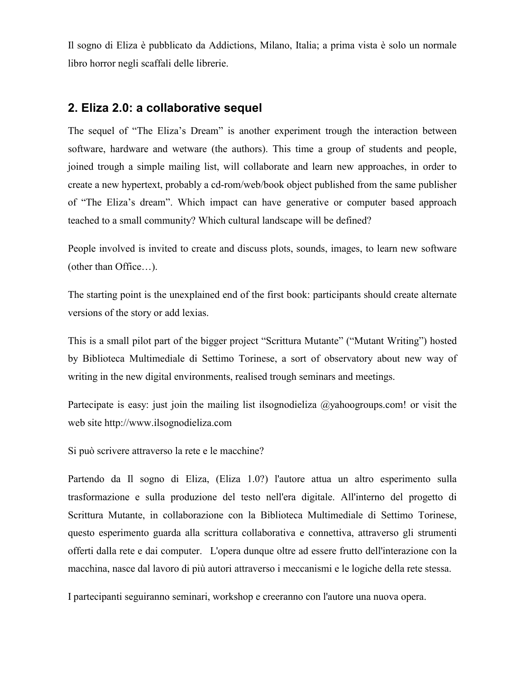Il sogno di Eliza è pubblicato da Addictions, Milano, Italia; a prima vista è solo un normale libro horror negli scaffali delle librerie.

### **2. Eliza 2.0: a collaborative sequel**

The sequel of "The Eliza's Dream" is another experiment trough the interaction between software, hardware and wetware (the authors). This time a group of students and people, joined trough a simple mailing list, will collaborate and learn new approaches, in order to create a new hypertext, probably a cd-rom/web/book object published from the same publisher of "The Eliza's dream". Which impact can have generative or computer based approach teached to a small community? Which cultural landscape will be defined?

People involved is invited to create and discuss plots, sounds, images, to learn new software (other than Office…).

The starting point is the unexplained end of the first book: participants should create alternate versions of the story or add lexias.

This is a small pilot part of the bigger project "Scrittura Mutante" ("Mutant Writing") hosted by Biblioteca Multimediale di Settimo Torinese, a sort of observatory about new way of writing in the new digital environments, realised trough seminars and meetings.

Partecipate is easy: just join the mailing list ilsognodieliza @yahoogroups.com! or visit the web site http://www.ilsognodieliza.com

Si può scrivere attraverso la rete e le macchine?

Partendo da Il sogno di Eliza, (Eliza 1.0?) l'autore attua un altro esperimento sulla trasformazione e sulla produzione del testo nell'era digitale. All'interno del progetto di Scrittura Mutante, in collaborazione con la Biblioteca Multimediale di Settimo Torinese, questo esperimento guarda alla scrittura collaborativa e connettiva, attraverso gli strumenti offerti dalla rete e dai computer. L'opera dunque oltre ad essere frutto dell'interazione con la macchina, nasce dal lavoro di più autori attraverso i meccanismi e le logiche della rete stessa.

I partecipanti seguiranno seminari, workshop e creeranno con l'autore una nuova opera.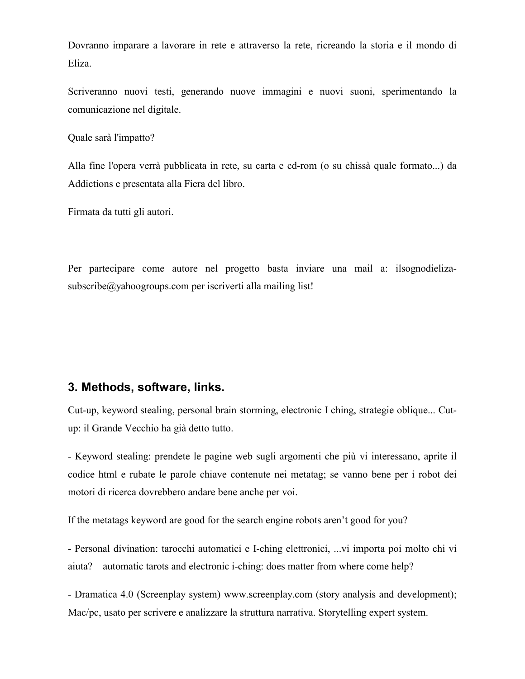Dovranno imparare a lavorare in rete e attraverso la rete, ricreando la storia e il mondo di Eliza.

Scriveranno nuovi testi, generando nuove immagini e nuovi suoni, sperimentando la comunicazione nel digitale.

Quale sarà l'impatto?

Alla fine l'opera verrà pubblicata in rete, su carta e cd-rom (o su chissà quale formato...) da Addictions e presentata alla Fiera del libro.

Firmata da tutti gli autori.

Per partecipare come autore nel progetto basta inviare una mail a: ilsognodielizasubscribe@yahoogroups.com per iscriverti alla mailing list!

#### **3. Methods, software, links.**

Cut-up, keyword stealing, personal brain storming, electronic I ching, strategie oblique... Cutup: il Grande Vecchio ha già detto tutto.

- Keyword stealing: prendete le pagine web sugli argomenti che più vi interessano, aprite il codice html e rubate le parole chiave contenute nei metatag; se vanno bene per i robot dei motori di ricerca dovrebbero andare bene anche per voi.

If the metatags keyword are good for the search engine robots aren't good for you?

- Personal divination: tarocchi automatici e I-ching elettronici, ...vi importa poi molto chi vi aiuta? – automatic tarots and electronic i-ching: does matter from where come help?

- Dramatica 4.0 (Screenplay system) www.screenplay.com (story analysis and development); Mac/pc, usato per scrivere e analizzare la struttura narrativa. Storytelling expert system.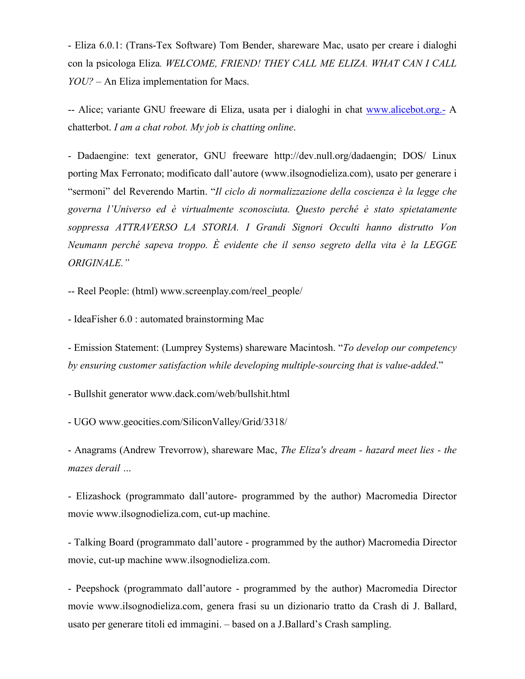- Eliza 6.0.1: (Trans-Tex Software) Tom Bender, shareware Mac, usato per creare i dialoghi con la psicologa Eliza*. WELCOME, FRIEND! THEY CALL ME ELIZA. WHAT CAN I CALL YOU?* – An Eliza implementation for Macs.

-- Alice; variante GNU freeware di Eliza, usata per i dialoghi in chat www.alicebot.org.- A chatterbot. *I am a chat robot. My job is chatting online*.

- Dadaengine: text generator, GNU freeware http://dev.null.org/dadaengin; DOS/ Linux porting Max Ferronato; modificato dall'autore (www.ilsognodieliza.com), usato per generare i "sermoni" del Reverendo Martin. "*Il ciclo di normalizzazione della coscienza è la legge che governa l'Universo ed è virtualmente sconosciuta. Questo perché è stato spietatamente soppressa ATTRAVERSO LA STORIA. I Grandi Signori Occulti hanno distrutto Von Neumann perché sapeva troppo. È evidente che il senso segreto della vita è la LEGGE ORIGINALE."*

-- Reel People: (html) www.screenplay.com/reel\_people/

- IdeaFisher 6.0 : automated brainstorming Mac

- Emission Statement: (Lumprey Systems) shareware Macintosh. "*To develop our competency by ensuring customer satisfaction while developing multiple-sourcing that is value-added*."

- Bullshit generator www.dack.com/web/bullshit.html

- UGO www.geocities.com/SiliconValley/Grid/3318/

- Anagrams (Andrew Trevorrow), shareware Mac, *The Eliza's dream - hazard meet lies - the mazes derail …*

- Elizashock (programmato dall'autore- programmed by the author) Macromedia Director movie www.ilsognodieliza.com, cut-up machine.

- Talking Board (programmato dall'autore - programmed by the author) Macromedia Director movie, cut-up machine www.ilsognodieliza.com.

- Peepshock (programmato dall'autore - programmed by the author) Macromedia Director movie www.ilsognodieliza.com, genera frasi su un dizionario tratto da Crash di J. Ballard, usato per generare titoli ed immagini. – based on a J.Ballard's Crash sampling.